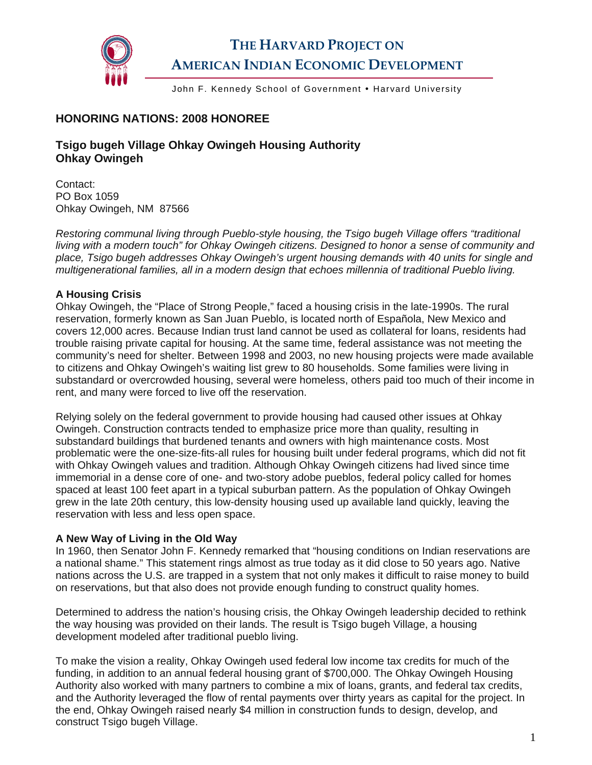

# **THE HARVARD PROJECT ON AMERICAN INDIAN ECONOMIC DEVELOPMENT**

John F. Kennedy School of Government • Harvard University

### **HONORING NATIONS: 2008 HONOREE**

### **Tsigo bugeh Village Ohkay Owingeh Housing Authority Ohkay Owingeh**

Contact: PO Box 1059 Ohkay Owingeh, NM 87566

*Restoring communal living through Pueblo-style housing, the Tsigo bugeh Village offers "traditional living with a modern touch" for Ohkay Owingeh citizens. Designed to honor a sense of community and place, Tsigo bugeh addresses Ohkay Owingeh's urgent housing demands with 40 units for single and multigenerational families, all in a modern design that echoes millennia of traditional Pueblo living.* 

#### **A Housing Crisis**

Ohkay Owingeh, the "Place of Strong People," faced a housing crisis in the late-1990s. The rural reservation, formerly known as San Juan Pueblo, is located north of Española, New Mexico and covers 12,000 acres. Because Indian trust land cannot be used as collateral for loans, residents had trouble raising private capital for housing. At the same time, federal assistance was not meeting the community's need for shelter. Between 1998 and 2003, no new housing projects were made available to citizens and Ohkay Owingeh's waiting list grew to 80 households. Some families were living in substandard or overcrowded housing, several were homeless, others paid too much of their income in rent, and many were forced to live off the reservation.

Relying solely on the federal government to provide housing had caused other issues at Ohkay Owingeh. Construction contracts tended to emphasize price more than quality, resulting in substandard buildings that burdened tenants and owners with high maintenance costs. Most problematic were the one-size-fits-all rules for housing built under federal programs, which did not fit with Ohkay Owingeh values and tradition. Although Ohkay Owingeh citizens had lived since time immemorial in a dense core of one- and two-story adobe pueblos, federal policy called for homes spaced at least 100 feet apart in a typical suburban pattern. As the population of Ohkay Owingeh grew in the late 20th century, this low-density housing used up available land quickly, leaving the reservation with less and less open space.

#### **A New Way of Living in the Old Way**

In 1960, then Senator John F. Kennedy remarked that "housing conditions on Indian reservations are a national shame." This statement rings almost as true today as it did close to 50 years ago. Native nations across the U.S. are trapped in a system that not only makes it difficult to raise money to build on reservations, but that also does not provide enough funding to construct quality homes.

Determined to address the nation's housing crisis, the Ohkay Owingeh leadership decided to rethink the way housing was provided on their lands. The result is Tsigo bugeh Village, a housing development modeled after traditional pueblo living.

To make the vision a reality, Ohkay Owingeh used federal low income tax credits for much of the funding, in addition to an annual federal housing grant of \$700,000. The Ohkay Owingeh Housing Authority also worked with many partners to combine a mix of loans, grants, and federal tax credits, and the Authority leveraged the flow of rental payments over thirty years as capital for the project. In the end, Ohkay Owingeh raised nearly \$4 million in construction funds to design, develop, and construct Tsigo bugeh Village.